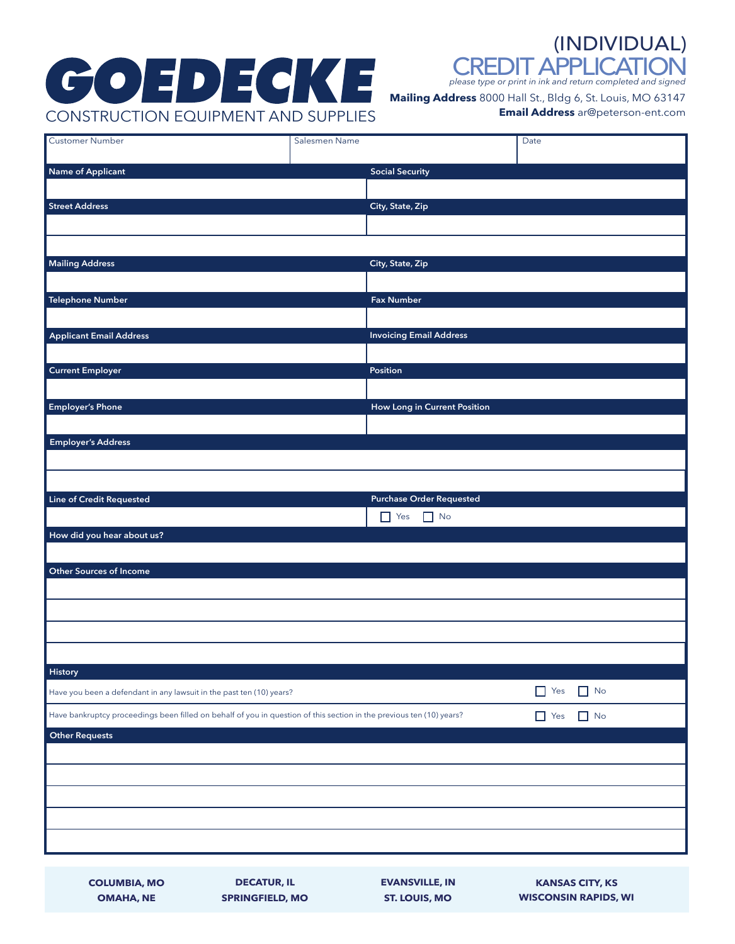# CONSTRUCTION EQUIPMENT AND SUPPLIES **Mailing Address** 8000 Hall St., Bldg 6, St. Louis, MO 63147

CREDIT APPLICATIO (INDIVIDUAL)

*please type or print in ink and return completed and signed*

**Email Address** ar@peterson-ent.com

| Customer Number<br>Salesmen Name<br>Date<br><b>Social Security</b><br>City, State, Zip<br>City, State, Zip<br>Telephone Number<br><b>Fax Number</b><br><b>Invoicing Email Address</b><br><b>Applicant Email Address</b><br><b>Current Employer</b><br>Position<br><b>How Long in Current Position</b><br><b>Purchase Order Requested</b><br>$\Box$ No<br>$\Box$ Yes<br><b>Other Sources of Income</b><br>$\Box$ No<br>$\Box$ Yes<br>Have you been a defendant in any lawsuit in the past ten (10) years?<br>Have bankruptcy proceedings been filled on behalf of you in question of this section in the previous ten (10) years?<br>$\Box$ Yes<br>$\Box$ No |                                 |  |  |
|-------------------------------------------------------------------------------------------------------------------------------------------------------------------------------------------------------------------------------------------------------------------------------------------------------------------------------------------------------------------------------------------------------------------------------------------------------------------------------------------------------------------------------------------------------------------------------------------------------------------------------------------------------------|---------------------------------|--|--|
|                                                                                                                                                                                                                                                                                                                                                                                                                                                                                                                                                                                                                                                             |                                 |  |  |
|                                                                                                                                                                                                                                                                                                                                                                                                                                                                                                                                                                                                                                                             | Name of Applicant               |  |  |
|                                                                                                                                                                                                                                                                                                                                                                                                                                                                                                                                                                                                                                                             |                                 |  |  |
|                                                                                                                                                                                                                                                                                                                                                                                                                                                                                                                                                                                                                                                             | Street Address                  |  |  |
|                                                                                                                                                                                                                                                                                                                                                                                                                                                                                                                                                                                                                                                             |                                 |  |  |
|                                                                                                                                                                                                                                                                                                                                                                                                                                                                                                                                                                                                                                                             |                                 |  |  |
|                                                                                                                                                                                                                                                                                                                                                                                                                                                                                                                                                                                                                                                             | <b>Mailing Address</b>          |  |  |
|                                                                                                                                                                                                                                                                                                                                                                                                                                                                                                                                                                                                                                                             |                                 |  |  |
|                                                                                                                                                                                                                                                                                                                                                                                                                                                                                                                                                                                                                                                             |                                 |  |  |
|                                                                                                                                                                                                                                                                                                                                                                                                                                                                                                                                                                                                                                                             |                                 |  |  |
|                                                                                                                                                                                                                                                                                                                                                                                                                                                                                                                                                                                                                                                             |                                 |  |  |
|                                                                                                                                                                                                                                                                                                                                                                                                                                                                                                                                                                                                                                                             |                                 |  |  |
|                                                                                                                                                                                                                                                                                                                                                                                                                                                                                                                                                                                                                                                             |                                 |  |  |
|                                                                                                                                                                                                                                                                                                                                                                                                                                                                                                                                                                                                                                                             | <b>Employer's Phone</b>         |  |  |
|                                                                                                                                                                                                                                                                                                                                                                                                                                                                                                                                                                                                                                                             |                                 |  |  |
|                                                                                                                                                                                                                                                                                                                                                                                                                                                                                                                                                                                                                                                             | <b>Employer's Address</b>       |  |  |
|                                                                                                                                                                                                                                                                                                                                                                                                                                                                                                                                                                                                                                                             |                                 |  |  |
|                                                                                                                                                                                                                                                                                                                                                                                                                                                                                                                                                                                                                                                             |                                 |  |  |
|                                                                                                                                                                                                                                                                                                                                                                                                                                                                                                                                                                                                                                                             | <b>Line of Credit Requested</b> |  |  |
|                                                                                                                                                                                                                                                                                                                                                                                                                                                                                                                                                                                                                                                             |                                 |  |  |
|                                                                                                                                                                                                                                                                                                                                                                                                                                                                                                                                                                                                                                                             | How did you hear about us?      |  |  |
|                                                                                                                                                                                                                                                                                                                                                                                                                                                                                                                                                                                                                                                             |                                 |  |  |
|                                                                                                                                                                                                                                                                                                                                                                                                                                                                                                                                                                                                                                                             |                                 |  |  |
|                                                                                                                                                                                                                                                                                                                                                                                                                                                                                                                                                                                                                                                             |                                 |  |  |
|                                                                                                                                                                                                                                                                                                                                                                                                                                                                                                                                                                                                                                                             |                                 |  |  |
|                                                                                                                                                                                                                                                                                                                                                                                                                                                                                                                                                                                                                                                             |                                 |  |  |
|                                                                                                                                                                                                                                                                                                                                                                                                                                                                                                                                                                                                                                                             |                                 |  |  |
|                                                                                                                                                                                                                                                                                                                                                                                                                                                                                                                                                                                                                                                             | <b>History</b>                  |  |  |
|                                                                                                                                                                                                                                                                                                                                                                                                                                                                                                                                                                                                                                                             |                                 |  |  |
|                                                                                                                                                                                                                                                                                                                                                                                                                                                                                                                                                                                                                                                             |                                 |  |  |
|                                                                                                                                                                                                                                                                                                                                                                                                                                                                                                                                                                                                                                                             | <b>Other Requests</b>           |  |  |
|                                                                                                                                                                                                                                                                                                                                                                                                                                                                                                                                                                                                                                                             |                                 |  |  |
|                                                                                                                                                                                                                                                                                                                                                                                                                                                                                                                                                                                                                                                             |                                 |  |  |
|                                                                                                                                                                                                                                                                                                                                                                                                                                                                                                                                                                                                                                                             |                                 |  |  |
|                                                                                                                                                                                                                                                                                                                                                                                                                                                                                                                                                                                                                                                             |                                 |  |  |
|                                                                                                                                                                                                                                                                                                                                                                                                                                                                                                                                                                                                                                                             |                                 |  |  |
|                                                                                                                                                                                                                                                                                                                                                                                                                                                                                                                                                                                                                                                             |                                 |  |  |
|                                                                                                                                                                                                                                                                                                                                                                                                                                                                                                                                                                                                                                                             |                                 |  |  |

**COLUMBIA, MO OMAHA, NE**

**SPRINGFIELD, MO**

**ST. LOUIS, MO EVANSVILLE, IN**

**DECATUR, IL KANSAS CITY, KS WISCONSIN RAPIDS, WI**